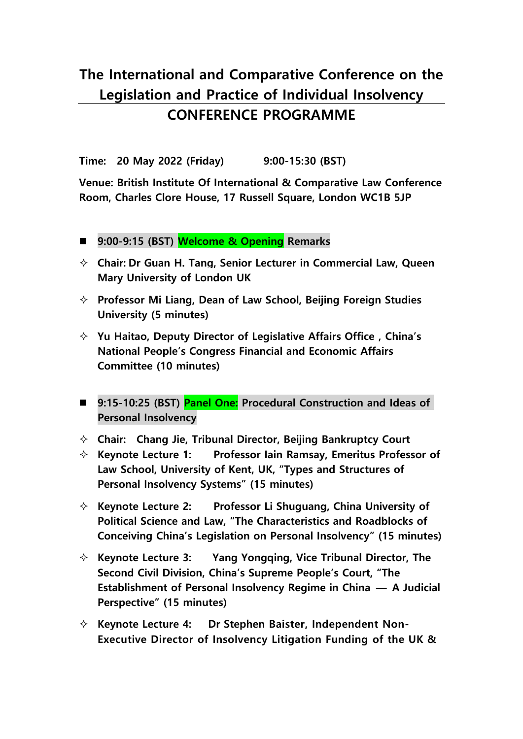## **The International and Comparative Conference on the Legislation and Practice of Individual Insolvency CONFERENCE PROGRAMME**

**Time: 20 May 2022 (Friday) 9:00-15:30 (BST)** 

**Venue: British Institute Of International & Comparative Law Conference Room, Charles Clore House, 17 Russell Square, London WC1B 5JP**

- **9:00-9:15 (BST) Welcome & Opening Remarks**
- **Chair: Dr Guan H. Tang, Senior Lecturer in Commercial Law, Queen Mary University of London UK**
- **Professor Mi Liang, Dean of Law School, Beijing Foreign Studies University (5 minutes)**
- **Yu Haitao, Deputy Director of Legislative Affairs Office,China's National People's Congress Financial and Economic Affairs Committee (10 minutes)**
- **9:15-10:25 (BST) Panel One: Procedural Construction and Ideas of Personal Insolvency**
- **Chair: Chang Jie, Tribunal Director, Beijing Bankruptcy Court**
- **Keynote Lecture 1: Professor Iain Ramsay, Emeritus Professor of Law School, University of Kent, UK, "Types and Structures of Personal Insolvency Systems" (15 minutes)**
- **Keynote Lecture 2: Professor Li Shuguang, China University of Political Science and Law, "The Characteristics and Roadblocks of Conceiving China's Legislation on Personal Insolvency" (15 minutes)**
- **Keynote Lecture 3: Yang Yongqing, Vice Tribunal Director, The Second Civil Division, China's Supreme People's Court, "The Establishment of Personal Insolvency Regime in China — A Judicial Perspective" (15 minutes)**
- **Keynote Lecture 4: Dr Stephen Baister, Independent Non-Executive Director of Insolvency Litigation Funding of the UK &**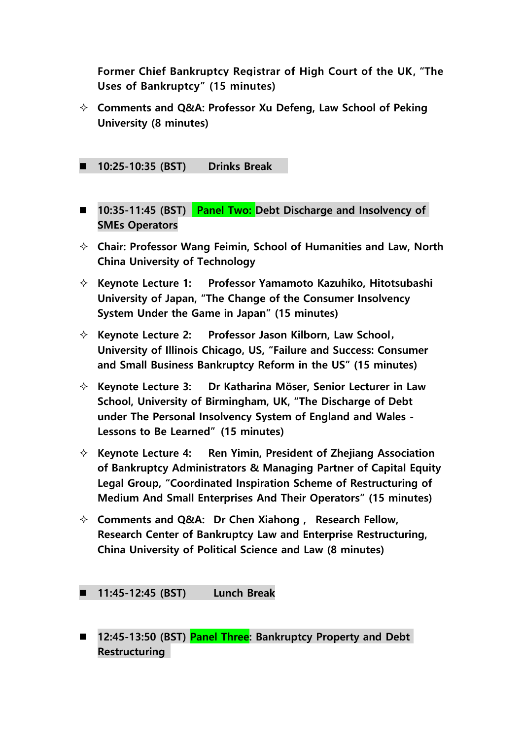**Former Chief Bankruptcy Registrar of High Court of the UK, "The Uses of Bankruptcy" (15 minutes)**

- **Comments and Q&A: Professor Xu Defeng, Law School of Peking University (8 minutes)**
- **10:25-10:35 (BST) Drinks Break**
- **10:35-11:45 (BST) Panel Two: Debt Discharge and Insolvency of SMEs Operators**
- **Chair: Professor Wang Feimin, School of Humanities and Law, North China University of Technology**
- **Keynote Lecture 1: Professor Yamamoto Kazuhiko, Hitotsubashi University of Japan, "The Change of the Consumer Insolvency System Under the Game in Japan" (15 minutes)**
- **Keynote Lecture 2: Professor Jason Kilborn, Law School**, **University of Illinois Chicago, US, "Failure and Success: Consumer and Small Business Bankruptcy Reform in the US" (15 minutes)**
- **Keynote Lecture 3: Dr Katharina Möser, Senior Lecturer in Law School, University of Birmingham, UK, "The Discharge of Debt under The Personal Insolvency System of England and Wales - Lessons to Be Learned" (15 minutes)**
- **Keynote Lecture 4: Ren Yimin, President of Zhejiang Association of Bankruptcy Administrators & Managing Partner of Capital Equity Legal Group, "Coordinated Inspiration Scheme of Restructuring of Medium And Small Enterprises And Their Operators" (15 minutes)**
- **Comments and Q&A: Dr Chen Xiahong, Research Fellow, Research Center of Bankruptcy Law and Enterprise Restructuring, China University of Political Science and Law (8 minutes)**

**11:45-12:45 (BST) Lunch Break**

 **12:45-13:50 (BST) Panel Three: Bankruptcy Property and Debt Restructuring**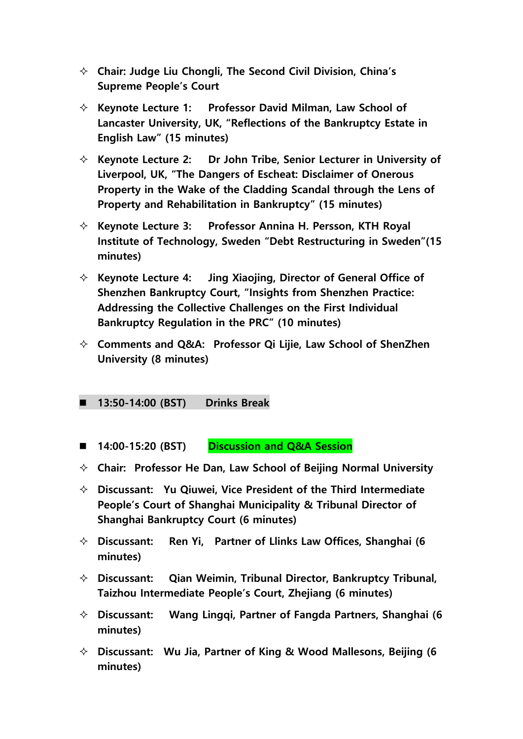- **Chair: Judge Liu Chongli, The Second Civil Division, China's Supreme People's Court**
- **Keynote Lecture 1: Professor David Milman, Law School of Lancaster University, UK, "Reflections of the Bankruptcy Estate in English Law" (15 minutes)**
- **Keynote Lecture 2: Dr John Tribe, Senior Lecturer in University of Liverpool, UK, "The Dangers of Escheat: Disclaimer of Onerous Property in the Wake of the Cladding Scandal through the Lens of Property and Rehabilitation in Bankruptcy" (15 minutes)**
- **Keynote Lecture 3: Professor Annina H. Persson, KTH Royal Institute of Technology, Sweden "Debt Restructuring in Sweden"(15 minutes)**
- **Keynote Lecture 4: Jing Xiaojing, Director of General Office of Shenzhen Bankruptcy Court, "Insights from Shenzhen Practice: Addressing the Collective Challenges on the First Individual Bankruptcy Regulation in the PRC" (10 minutes)**
- **Comments and Q&A: Professor Qi Lijie, Law School of ShenZhen University (8 minutes)**

## **13:50-14:00 (BST) Drinks Break**

- **14:00-15:20 (BST) Discussion and Q&A Session**
- **Chair: Professor He Dan, Law School of Beijing Normal University**
- **Discussant: Yu Qiuwei, Vice President of the Third Intermediate People's Court of Shanghai Municipality & Tribunal Director of Shanghai Bankruptcy Court (6 minutes)**
- **Discussant: Ren Yi, Partner of Llinks Law Offices, Shanghai (6 minutes)**
- **Discussant: Qian Weimin, Tribunal Director, Bankruptcy Tribunal, Taizhou Intermediate People's Court, Zhejiang (6 minutes)**
- **Discussant: Wang Lingqi, Partner of Fangda Partners, Shanghai (6 minutes)**
- **Discussant: Wu Jia, Partner of King & Wood Mallesons, Beijing (6 minutes)**